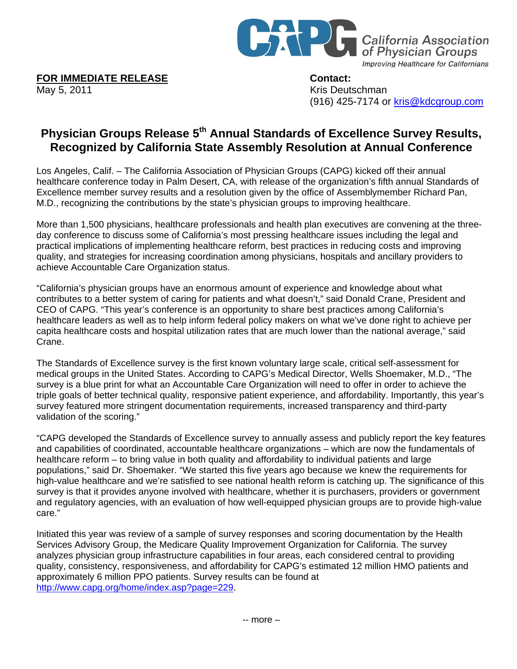

**FOR IMMEDIATE RELEASE Contact:** 

May 5, 2011 May 5, 2011 (916) 425-7174 or kris@kdcgroup.com

## **Physician Groups Release 5th Annual Standards of Excellence Survey Results, Recognized by California State Assembly Resolution at Annual Conference**

Los Angeles, Calif. – The California Association of Physician Groups (CAPG) kicked off their annual healthcare conference today in Palm Desert, CA, with release of the organization's fifth annual Standards of Excellence member survey results and a resolution given by the office of Assemblymember Richard Pan, M.D., recognizing the contributions by the state's physician groups to improving healthcare.

More than 1,500 physicians, healthcare professionals and health plan executives are convening at the threeday conference to discuss some of California's most pressing healthcare issues including the legal and practical implications of implementing healthcare reform, best practices in reducing costs and improving quality, and strategies for increasing coordination among physicians, hospitals and ancillary providers to achieve Accountable Care Organization status.

"California's physician groups have an enormous amount of experience and knowledge about what contributes to a better system of caring for patients and what doesn't," said Donald Crane, President and CEO of CAPG. "This year's conference is an opportunity to share best practices among California's healthcare leaders as well as to help inform federal policy makers on what we've done right to achieve per capita healthcare costs and hospital utilization rates that are much lower than the national average," said Crane.

The Standards of Excellence survey is the first known voluntary large scale, critical self-assessment for medical groups in the United States. According to CAPG's Medical Director, Wells Shoemaker, M.D., "The survey is a blue print for what an Accountable Care Organization will need to offer in order to achieve the triple goals of better technical quality, responsive patient experience, and affordability. Importantly, this year's survey featured more stringent documentation requirements, increased transparency and third-party validation of the scoring."

"CAPG developed the Standards of Excellence survey to annually assess and publicly report the key features and capabilities of coordinated, accountable healthcare organizations – which are now the fundamentals of healthcare reform – to bring value in both quality and affordability to individual patients and large populations," said Dr. Shoemaker. "We started this five years ago because we knew the requirements for high-value healthcare and we're satisfied to see national health reform is catching up. The significance of this survey is that it provides anyone involved with healthcare, whether it is purchasers, providers or government and regulatory agencies, with an evaluation of how well-equipped physician groups are to provide high-value care."

Initiated this year was review of a sample of survey responses and scoring documentation by the Health Services Advisory Group, the Medicare Quality Improvement Organization for California. The survey analyzes physician group infrastructure capabilities in four areas, each considered central to providing quality, consistency, responsiveness, and affordability for CAPG's estimated 12 million HMO patients and approximately 6 million PPO patients. Survey results can be found at http://www.capg.org/home/index.asp?page=229.